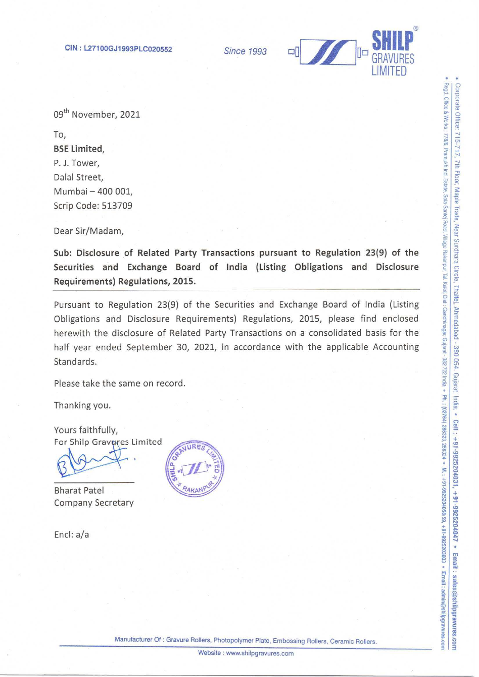**Since 1993** 



09<sup>th</sup> November, 2021

To, **BSE Limited.** P. J. Tower, Dalal Street. Mumbai - 400 001. Scrip Code: 513709

Dear Sir/Madam,

Sub: Disclosure of Related Party Transactions pursuant to Regulation 23(9) of the Securities and Exchange Board of India (Listing Obligations and Disclosure Requirements) Regulations, 2015.

Pursuant to Regulation 23(9) of the Securities and Exchange Board of India (Listing Obligations and Disclosure Requirements) Regulations, 2015, please find enclosed herewith the disclosure of Related Party Transactions on a consolidated basis for the half year ended September 30, 2021, in accordance with the applicable Accounting Standards.

Please take the same on record.

Thanking you.

Yours faithfully, For Shilp Gravures Limited

**Bharat Patel Company Secretary** 

Encl: a/a



Manufacturer Of: Gravure Rollers, Photopolymer Plate, Embossing Rollers, Ceramic Rollers.

Website: www.shilpgravures.com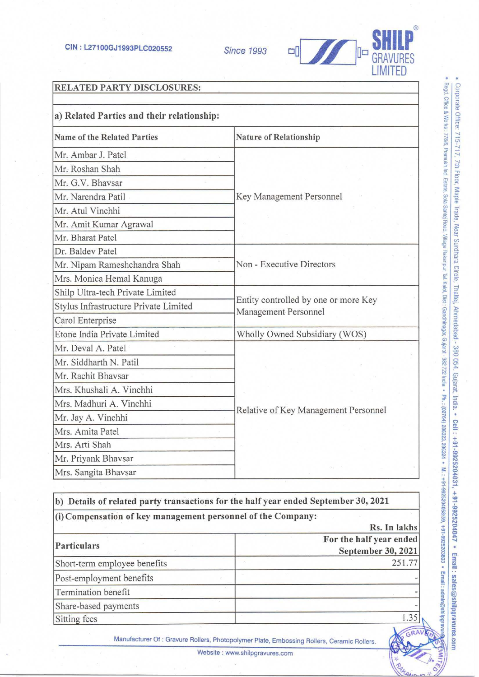

## RELATED PARTY DISCLOSURES:

| <b>Name of the Related Parties</b>    | <b>Nature of Relationship</b>                                |  |
|---------------------------------------|--------------------------------------------------------------|--|
| Mr. Ambar J. Patel                    |                                                              |  |
| Mr. Roshan Shah                       |                                                              |  |
| Mr. G.V. Bhavsar                      |                                                              |  |
| Mr. Narendra Patil                    | Key Management Personnel                                     |  |
| Mr. Atul Vinchhi                      |                                                              |  |
| Mr. Amit Kumar Agrawal                |                                                              |  |
| Mr. Bharat Patel                      |                                                              |  |
| Dr. Baldev Patel                      |                                                              |  |
| Mr. Nipam Rameshchandra Shah          | Non - Executive Directors                                    |  |
| Mrs. Monica Hemal Kanuga              |                                                              |  |
| Shilp Ultra-tech Private Limited      |                                                              |  |
| Stylus Infrastructure Private Limited | Entity controlled by one or more Key<br>Management Personnel |  |
| Carol Enterprise                      |                                                              |  |
| Etone India Private Limited           | Wholly Owned Subsidiary (WOS)                                |  |
| Mr. Deval A. Patel                    |                                                              |  |
| Mr. Siddharth N. Patil                |                                                              |  |
| Mr. Rachit Bhavsar                    |                                                              |  |
| Mrs. Khushali A. Vinchhi              |                                                              |  |
| Mrs. Madhuri A. Vinchhi               | Relative of Key Management Personnel                         |  |
| Mr. Jay A. Vinchhi                    |                                                              |  |
| Mrs. Amita Patel                      |                                                              |  |
| Mrs. Arti Shah                        |                                                              |  |
| Mr. Priyank Bhavsar                   |                                                              |  |
| Mrs. Sangita Bhavsar                  |                                                              |  |

b) Details of related party transactions for the half year ended September 30, 2021 (i) Compensation of key management personnel of the Company: Rs. In lakhs For the half year ended Particulars "September 30, 2021" Short-term employee benefits 251.77  $\frac{8}{1}$  •  $\frac{3}{1}$  •  $\frac{3}{1}$  •  $\frac{3}{1}$  •  $\frac{3}{1}$  •  $\frac{3}{1}$  •  $\frac{3}{1}$  •  $\frac{3}{1}$  •  $\frac{3}{1}$  •  $\frac{3}{1}$  •  $\frac{3}{1}$  •  $\frac{3}{1}$  •  $\frac{3}{1}$  •  $\frac{3}{1}$  •  $\frac{3}{1}$  •  $\frac{3}{$ Termination benefit Share-based payments and the share of the state of the state of the state of the state of the state of the state of the state of the state of the state of the state of the state of the state of the state of the state of th  $\frac{1.35}{9}$   $\frac{1.35}{9}$   $\frac{1.35}{9}$   $\frac{1.35}{9}$   $\frac{1.35}{9}$   $\frac{1.35}{9}$   $\frac{1.35}{9}$   $\frac{1.35}{9}$   $\frac{1.35}{9}$   $\frac{1.35}{9}$   $\frac{1.35}{9}$   $\frac{1.35}{9}$   $\frac{1.35}{9}$   $\frac{1.35}{9}$   $\frac{1.35}{9}$   $\frac{1.35}{9}$   $\frac{1.35}{9}$ 

Manufacturer Of : Gravure Rollers, Photopolymer Plate, Embossing Rollers, Ceramic Rollers.

 $\mathbb{R}$   $\alpha$  $\frac{1}{2}$  taun =  $\frac{1}{2}$ 

Website : www.shilpgravures.com